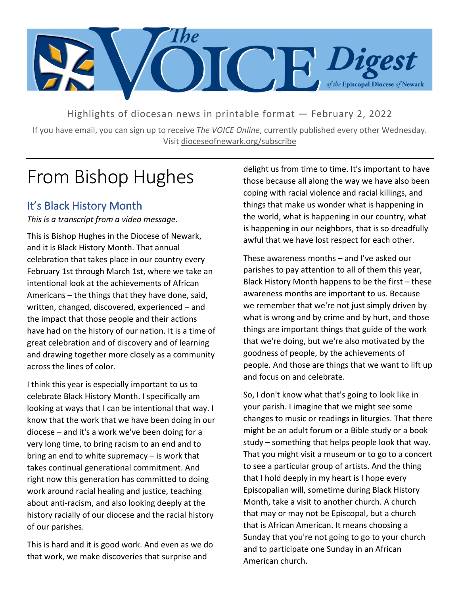

Highlights of diocesan news in printable format — February 2, 2022

If you have email, you can sign up to receive *The VOICE Online*, currently published every other Wednesday. Visit dioceseofnewark.org/subscribe

# From Bishop Hughes

### It's Black History Month

*This is a transcript from a video message.*

This is Bishop Hughes in the Diocese of Newark, and it is Black History Month. That annual celebration that takes place in our country every February 1st through March 1st, where we take an intentional look at the achievements of African Americans – the things that they have done, said, written, changed, discovered, experienced – and the impact that those people and their actions have had on the history of our nation. It is a time of great celebration and of discovery and of learning and drawing together more closely as a community across the lines of color.

I think this year is especially important to us to celebrate Black History Month. I specifically am looking at ways that I can be intentional that way. I know that the work that we have been doing in our diocese – and it's a work we've been doing for a very long time, to bring racism to an end and to bring an end to white supremacy – is work that takes continual generational commitment. And right now this generation has committed to doing work around racial healing and justice, teaching about anti-racism, and also looking deeply at the history racially of our diocese and the racial history of our parishes.

This is hard and it is good work. And even as we do that work, we make discoveries that surprise and

delight us from time to time. It's important to have those because all along the way we have also been coping with racial violence and racial killings, and things that make us wonder what is happening in the world, what is happening in our country, what is happening in our neighbors, that is so dreadfully awful that we have lost respect for each other.

These awareness months – and I've asked our parishes to pay attention to all of them this year, Black History Month happens to be the first – these awareness months are important to us. Because we remember that we're not just simply driven by what is wrong and by crime and by hurt, and those things are important things that guide of the work that we're doing, but we're also motivated by the goodness of people, by the achievements of people. And those are things that we want to lift up and focus on and celebrate.

So, I don't know what that's going to look like in your parish. I imagine that we might see some changes to music or readings in liturgies. That there might be an adult forum or a Bible study or a book study – something that helps people look that way. That you might visit a museum or to go to a concert to see a particular group of artists. And the thing that I hold deeply in my heart is I hope every Episcopalian will, sometime during Black History Month, take a visit to another church. A church that may or may not be Episcopal, but a church that is African American. It means choosing a Sunday that you're not going to go to your church and to participate one Sunday in an African American church.